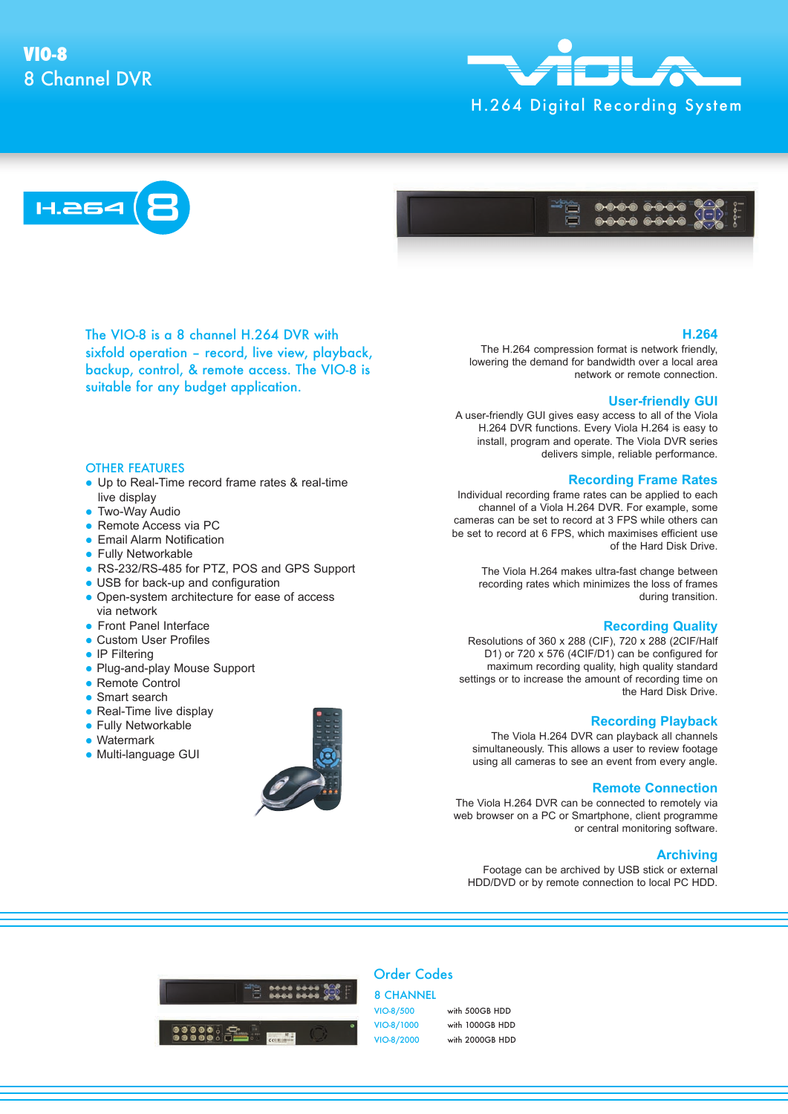# 8 Channel DVR **VIO-8**







The VIO-8 is a 8 channel H.264 DVR with sixfold operation – record, live view, playback, backup, control, & remote access. The VIO-8 is suitable for any budget application.

## OTHER FEATURES

- Up to Real-Time record frame rates & real-time live display
- **Two-Way Audio**
- Remote Access via PC
- **Email Alarm Notification**
- **Fully Networkable**
- RS-232/RS-485 for PTZ, POS and GPS Support
- USB for back-up and configuration
- Open-system architecture for ease of access via network
- **Front Panel Interface**
- Custom User Profiles
- IP Filtering
- Plug-and-play Mouse Support
- Remote Control
- Smart search
- Real-Time live display
- **Fully Networkable**
- Watermark
- Multi-language GUI



#### **H.264**

The H.264 compression format is network friendly, lowering the demand for bandwidth over a local area network or remote connection.

#### **User-friendly GUI**

A user-friendly GUI gives easy access to all of the Viola H.264 DVR functions. Every Viola H.264 is easy to install, program and operate. The Viola DVR series delivers simple, reliable performance.

#### **Recording Frame Rates**

Individual recording frame rates can be applied to each channel of a Viola H.264 DVR. For example, some cameras can be set to record at 3 FPS while others can be set to record at 6 FPS, which maximises efficient use of the Hard Disk Drive.

The Viola H.264 makes ultra-fast change between recording rates which minimizes the loss of frames during transition.

#### **Recording Quality**

Resolutions of 360 x 288 (CIF), 720 x 288 (2CIF/Half D1) or 720 x 576 (4CIF/D1) can be configured for maximum recording quality, high quality standard settings or to increase the amount of recording time on the Hard Disk Drive.

#### **Recording Playback**

The Viola H.264 DVR can playback all channels simultaneously. This allows a user to review footage using all cameras to see an event from every angle.

### **Remote Connection**

The Viola H.264 DVR can be connected to remotely via web browser on a PC or Smartphone, client programme or central monitoring software.

#### **Archiving**

Footage can be archived by USB stick or external HDD/DVD or by remote connection to local PC HDD.



# Order Codes

8 CHANNEL VIO-8/500 with 500GB HDD VIO-8/1000 with 1000GB HDD

VIO-8/2000 with 2000GB HDD